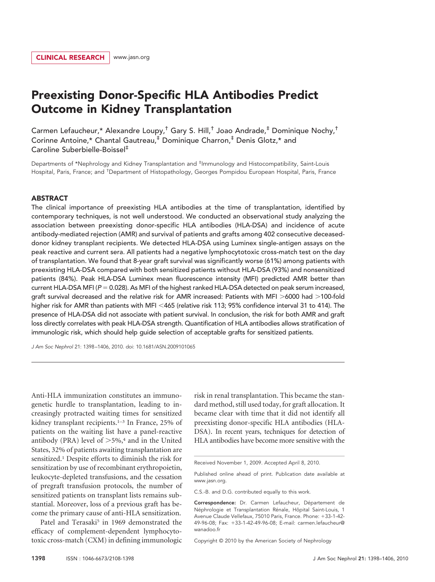# Preexisting Donor-Specific HLA Antibodies Predict Outcome in Kidney Transplantation

Carmen Lefaucheur,\* Alexandre Loupy,† Gary S. Hill,† Joao Andrade,‡ Dominique Nochy,† Corinne Antoine,\* Chantal Gautreau,‡ Dominique Charron,‡ Denis Glotz,\* and Caroline Suberbielle-Boissel‡

Departments of \*Nephrology and Kidney Transplantation and ‡ Immunology and Histocompatibility, Saint-Louis Hospital, Paris, France; and <sup>†</sup>Department of Histopathology, Georges Pompidou European Hospital, Paris, France

## **ABSTRACT**

The clinical importance of preexisting HLA antibodies at the time of transplantation, identified by contemporary techniques, is not well understood. We conducted an observational study analyzing the association between preexisting donor-specific HLA antibodies (HLA-DSA) and incidence of acute antibody-mediated rejection (AMR) and survival of patients and grafts among 402 consecutive deceaseddonor kidney transplant recipients. We detected HLA-DSA using Luminex single-antigen assays on the peak reactive and current sera. All patients had a negative lymphocytotoxic cross-match test on the day of transplantation. We found that 8-year graft survival was significantly worse (61%) among patients with preexisting HLA-DSA compared with both sensitized patients without HLA-DSA (93%) and nonsensitized patients (84%). Peak HLA-DSA Luminex mean fluorescence intensity (MFI) predicted AMR better than current HLA-DSA MFI ( $P = 0.028$ ). As MFI of the highest ranked HLA-DSA detected on peak serum increased, graft survival decreased and the relative risk for AMR increased: Patients with MFI  $>\!6000$  had  $>\!100$ -fold higher risk for AMR than patients with MFI <465 (relative risk 113; 95% confidence interval 31 to 414). The presence of HLA-DSA did not associate with patient survival. In conclusion, the risk for both AMR and graft loss directly correlates with peak HLA-DSA strength. Quantification of HLA antibodies allows stratification of immunologic risk, which should help guide selection of acceptable grafts for sensitized patients.

*J Am Soc Nephrol* 21: 1398 –1406, 2010. doi: 10.1681/ASN.2009101065

Anti-HLA immunization constitutes an immunogenetic hurdle to transplantation, leading to increasingly protracted waiting times for sensitized kidney transplant recipients.<sup>1–3</sup> In France, 25% of patients on the waiting list have a panel-reactive antibody (PRA) level of  $>5\%$ ,<sup>4</sup> and in the United States, 32% of patients awaiting transplantation are sensitized.1 Despite efforts to diminish the risk for sensitization by use of recombinant erythropoietin, leukocyte-depleted transfusions, and the cessation of pregraft transfusion protocols, the number of sensitized patients on transplant lists remains substantial. Moreover, loss of a previous graft has become the primary cause of anti-HLA sensitization.

Patel and Terasaki<sup>5</sup> in 1969 demonstrated the efficacy of complement-dependent lymphocytotoxic cross-match (CXM) in defining immunologic risk in renal transplantation. This became the standard method, still used today, for graft allocation. It became clear with time that it did not identify all preexisting donor-specific HLA antibodies (HLA-DSA). In recent years, techniques for detection of HLA antibodies have become more sensitive with the

Copyright © 2010 by the American Society of Nephrology

Received November 1, 2009. Accepted April 8, 2010.

Published online ahead of print. Publication date available at www.jasn.org.

C.S.-B. and D.G. contributed equally to this work.

Correspondence: Dr. Carmen Lefaucheur, Département de Néphrologie et Transplantation Rénale, Hôpital Saint-Louis, 1 Avenue Claude Vellefaux, 75010 Paris, France. Phone: +33-1-42-49-96-08; Fax: +33-1-42-49-96-08; E-mail: carmen.lefaucheur@ wanadoo.fr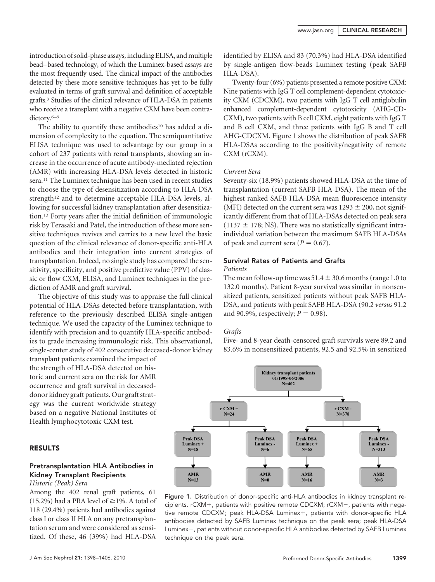introduction of solid-phase assays, including ELISA, and multiple bead–based technology, of which the Luminex-based assays are the most frequently used. The clinical impact of the antibodies detected by these more sensitive techniques has yet to be fully evaluated in terms of graft survival and definition of acceptable grafts.3 Studies of the clinical relevance of HLA-DSA in patients who receive a transplant with a negative CXM have been contradictory.6–9

The ability to quantify these antibodies<sup>10</sup> has added a dimension of complexity to the equation. The semiquantitative ELISA technique was used to advantage by our group in a cohort of 237 patients with renal transplants, showing an increase in the occurrence of acute antibody-mediated rejection (AMR) with increasing HLA-DSA levels detected in historic sera.11 The Luminex technique has been used in recent studies to choose the type of desensitization according to HLA-DSA strength<sup>12</sup> and to determine acceptable HLA-DSA levels, allowing for successful kidney transplantation after desensitization.13 Forty years after the initial definition of immunologic risk by Terasaki and Patel, the introduction of these more sensitive techniques revives and carries to a new level the basic question of the clinical relevance of donor-specific anti-HLA antibodies and their integration into current strategies of transplantation. Indeed, no single study has compared the sensitivity, specificity, and positive predictive value (PPV) of classic or flow CXM, ELISA, and Luminex techniques in the prediction of AMR and graft survival.

The objective of this study was to appraise the full clinical potential of HLA-DSAs detected before transplantation, with reference to the previously described ELISA single-antigen technique. We used the capacity of the Luminex technique to identify with precision and to quantify HLA-specific antibodies to grade increasing immunologic risk. This observational, single-center study of 402 consecutive deceased-donor kidney

transplant patients examined the impact of the strength of HLA-DSA detected on historic and current sera on the risk for AMR occurrence and graft survival in deceaseddonor kidney graft patients. Our graft strategy was the current worldwide strategy based on a negative National Institutes of Health lymphocytotoxic CXM test.

## RESULTS

## Pretransplantation HLA Antibodies in Kidney Transplant Recipients *Historic (Peak) Sera*

Among the 402 renal graft patients, 61 (15.2%) had a PRA level of  $\geq$ 1%. A total of 118 (29.4%) patients had antibodies against class I or class II HLA on any pretransplantation serum and were considered as sensitized. Of these, 46 (39%) had HLA-DSA

identified by ELISA and 83 (70.3%) had HLA-DSA identified by single-antigen flow-beads Luminex testing (peak SAFB HLA-DSA).

Twenty-four (6%) patients presented a remote positive CXM: Nine patients with IgG T cell complement-dependent cytotoxicity CXM (CDCXM), two patients with IgG T cell antiglobulin enhanced complement-dependent cytotoxicity (AHG-CD-CXM), two patients with B cell CXM, eight patients with IgG T and B cell CXM, and three patients with IgG B and T cell AHG-CDCXM. Figure 1 shows the distribution of peak SAFB HLA-DSAs according to the positivity/negativity of remote CXM (rCXM).

#### *Current Sera*

Seventy-six (18.9%) patients showed HLA-DSA at the time of transplantation (current SAFB HLA-DSA). The mean of the highest ranked SAFB HLA-DSA mean fluorescence intensity (MFI) detected on the current sera was  $1293 \pm 200$ , not significantly different from that of HLA-DSAs detected on peak sera  $(1137 \pm 178; NS)$ . There was no statistically significant intraindividual variation between the maximum SAFB HLA-DSAs of peak and current sera ( $P = 0.67$ ).

## Survival Rates of Patients and Grafts

## *Patients*

The mean follow-up time was  $51.4 \pm 30.6$  months (range 1.0 to 132.0 months). Patient 8-year survival was similar in nonsensitized patients, sensitized patients without peak SAFB HLA-DSA, and patients with peak SAFB HLA-DSA (90.2 *versus* 91.2 and 90.9%, respectively;  $P = 0.98$ ).

#### *Grafts*

Five- and 8-year death-censored graft survivals were 89.2 and 83.6% in nonsensitized patients, 92.5 and 92.5% in sensitized



Figure 1. Distribution of donor-specific anti-HLA antibodies in kidney transplant recipients. rCXM+, patients with positive remote CDCXM; rCXM-, patients with negative remote CDCXM; peak HLA-DSA Luminex+, patients with donor-specific HLA antibodies detected by SAFB Luminex technique on the peak sera; peak HLA-DSA Luminex-, patients without donor-specific HLA antibodies detected by SAFB Luminex technique on the peak sera.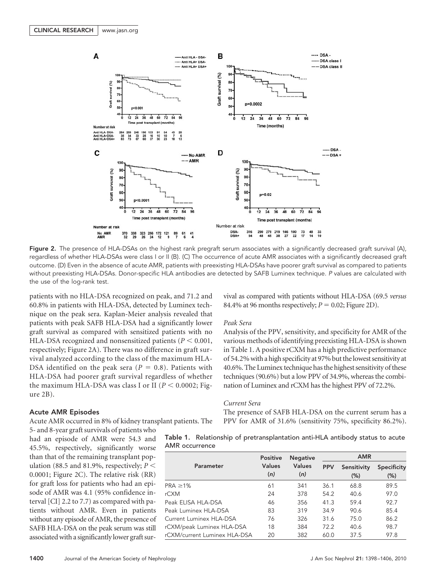

Figure 2. The presence of HLA-DSAs on the highest rank pregraft serum associates with a significantly decreased graft survival (A), regardless of whether HLA-DSAs were class I or II (B). (C) The occurrence of acute AMR associates with a significantly decreased graft outcome. (D) Even in the absence of acute AMR, patients with preexisting HLA-DSAs have poorer graft survival as compared to patients without preexisting HLA-DSAs. Donor-specific HLA antibodies are detected by SAFB Luminex technique. *P* values are calculated with the use of the log-rank test.

patients with no HLA-DSA recognized on peak, and 71.2 and 60.8% in patients with HLA-DSA, detected by Luminex technique on the peak sera. Kaplan-Meier analysis revealed that patients with peak SAFB HLA-DSA had a significantly lower graft survival as compared with sensitized patients with no HLA-DSA recognized and nonsensitized patients ( $P \leq 0.001$ , respectively; Figure 2A). There was no difference in graft survival analyzed according to the class of the maximum HLA-DSA identified on the peak sera ( $P = 0.8$ ). Patients with HLA-DSA had poorer graft survival regardless of whether the maximum HLA-DSA was class I or II ( $P < 0.0002$ ; Figure 2B).

## vival as compared with patients without HLA-DSA (69.5 *versus* 84.4% at 96 months respectively;  $P = 0.02$ ; Figure 2D).

## *Peak Sera*

Analysis of the PPV, sensitivity, and specificity for AMR of the various methods of identifying preexisting HLA-DSA is shown in Table 1. A positive rCXM has a high predictive performance of 54.2% with a high specificity at 97% but the lowest sensitivity at 40.6%. The Luminex technique has the highest sensitivity of these techniques (90.6%) but a low PPV of 34.9%, whereas the combination of Luminex and rCXM has the highest PPV of 72.2%.

## *Current Sera*

The presence of SAFB HLA-DSA on the current serum has a PPV for AMR of 31.6% (sensitivity 75%, specificity 86.2%).

## Acute AMR Episodes Acute AMR occurred in 8% of kidney transplant patients. The

5- and 8-year graft survivals of patients who had an episode of AMR were 54.3 and 45.5%, respectively, significantly worse than that of the remaining transplant population (88.5 and 81.9%, respectively; *P* 0.0001; Figure 2C). The relative risk (RR) for graft loss for patients who had an episode of AMR was 4.1 (95% confidence interval [CI] 2.2 to 7.7) as compared with patients without AMR. Even in patients without any episode of AMR, the presence of SAFB HLA-DSA on the peak serum was still associated with a significantly lower graft sur-

Table 1. Relationship of pretransplantation anti-HLA antibody status to acute AMR occurrence

|                              | <b>Positive</b><br>Values<br>(n) | <b>Negative</b><br>Values<br>(n) | <b>AMR</b> |                     |                              |
|------------------------------|----------------------------------|----------------------------------|------------|---------------------|------------------------------|
| Parameter                    |                                  |                                  | <b>PPV</b> | Sensitivity<br>(% ) | <b>Specificity</b><br>$(\%)$ |
| PRA $\geq$ 1%                | 61                               | 341                              | 36.1       | 68.8                | 89.5                         |
| rCXM                         | 24                               | 378                              | 54.2       | 40.6                | 97.0                         |
| Peak ELISA HLA-DSA           | 46                               | 356                              | 41.3       | 59.4                | 92.7                         |
| Peak Luminex HLA-DSA         | 83                               | 319                              | 34.9       | 90.6                | 85.4                         |
| Current Luminex HLA-DSA      | 76                               | 326                              | 31.6       | 75.0                | 86.2                         |
| rCXM/peak Luminex HLA-DSA    | 18                               | 384                              | 72.2       | 40.6                | 98.7                         |
| rCXM/current Luminex HLA-DSA | 20                               | 382                              | 60.0       | 37.5                | 97.8                         |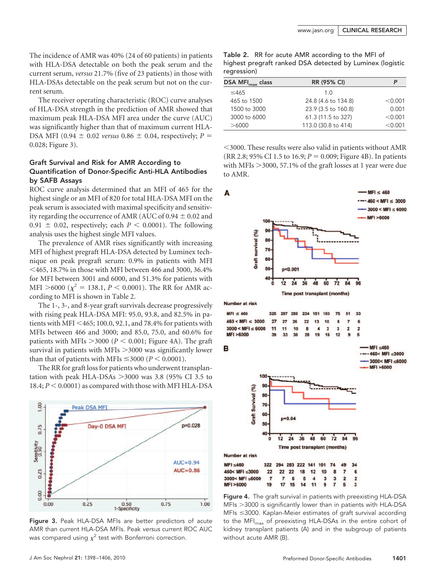The incidence of AMR was 40% (24 of 60 patients) in patients with HLA-DSA detectable on both the peak serum and the current serum, *versus* 21.7% (five of 23 patients) in those with HLA-DSAs detectable on the peak serum but not on the current serum.

The receiver operating characteristic (ROC) curve analyses of HLA-DSA strength in the prediction of AMR showed that maximum peak HLA-DSA MFI area under the curve (AUC) was significantly higher than that of maximum current HLA-DSA MFI (0.94  $\pm$  0.02 *versus* 0.86  $\pm$  0.04, respectively; *P* = 0.028; Figure 3).

## Graft Survival and Risk for AMR According to Quantification of Donor-Specific Anti-HLA Antibodies by SAFB Assays

ROC curve analysis determined that an MFI of 465 for the highest single or an MFI of 820 for total HLA-DSA MFI on the peak serum is associated with maximal specificity and sensitivity regarding the occurrence of AMR (AUC of  $0.94 \pm 0.02$  and 0.91  $\pm$  0.02, respectively; each  $P < 0.0001$ ). The following analysis uses the highest single MFI values.

The prevalence of AMR rises significantly with increasing MFI of highest pregraft HLA-DSA detected by Luminex technique on peak pregraft serum: 0.9% in patients with MFI 465, 18.7% in those with MFI between 466 and 3000, 36.4% for MFI between 3001 and 6000, and 51.3% for patients with MFI >6000 ( $\chi^2 = 138.1, P < 0.0001$ ). The RR for AMR according to MFI is shown in Table 2.

The 1-, 3-, and 8-year graft survivals decrease progressively with rising peak HLA-DSA MFI: 95.0, 93.8, and 82.5% in patients with MFI  $<$  465; 100.0, 92.1, and 78.4% for patients with MFIs between 466 and 3000; and 85.0, 75.0, and 60.6% for patients with MFIs  $>$  3000 ( $P < 0.001$ ; Figure 4A). The graft survival in patients with MFIs >3000 was significantly lower than that of patients with MFIs  $\leq 3000$  ( $P < 0.0001$ ).

The RR for graft loss for patients who underwent transplantation with peak HLA-DSAs > 3000 was 3.8 (95% CI 3.5 to 18.4;  $P < 0.0001$ ) as compared with those with MFI HLA-DSA



Figure 3. Peak HLA-DSA MFIs are better predictors of acute AMR than current HLA-DSA MFIs. Peak *versus* current ROC AUC was compared using  $\chi^2$  test with Bonferroni correction.

Table 2. RR for acute AMR according to the MFI of highest pregraft ranked DSA detected by Luminex (logistic regression)

| DSA MFI <sub>max</sub> class | RR (95% CI)         | P         |
|------------------------------|---------------------|-----------|
| $\leq 465$                   | 1.0                 |           |
| 465 to 1500                  | 24.8 (4.6 to 134.8) | < 0.001   |
| 1500 to 3000                 | 23.9 (3.5 to 160.8) | 0.001     |
| 3000 to 6000                 | 61.3 (11.5 to 327)  | < 0.001   |
| >6000                        | 113.0 (30.8 to 414) | $<$ 0.001 |

3000. These results were also valid in patients without AMR (RR 2.8; 95% CI 1.5 to 16.9;  $P = 0.009$ ; Figure 4B). In patients with MFIs > 3000, 57.1% of the graft losses at 1 year were due to AMR.



Figure 4. The graft survival in patients with preexisting HLA-DSA MFIs -3000 is significantly lower than in patients with HLA-DSA MFIs 3000. Kaplan-Meier estimates of graft survival according to the MFI<sub>max</sub> of preexisting HLA-DSAs in the entire cohort of kidney transplant patients (A) and in the subgroup of patients without acute AMR (B).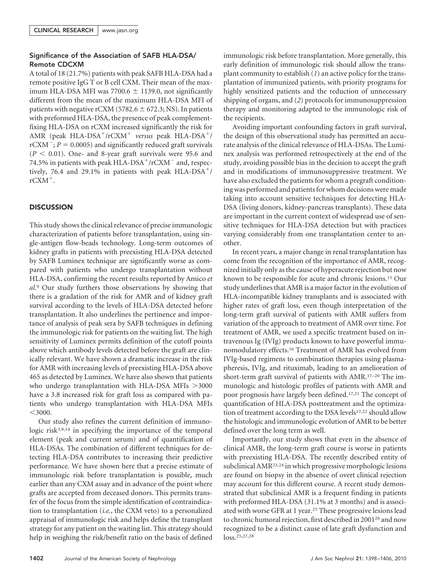## Significance of the Association of SAFB HLA-DSA/ Remote CDCXM

A total of 18 (21.7%) patients with peak SAFB HLA-DSA had a remote positive IgG T or B cell CXM. Their mean of the maximum HLA-DSA MFI was 7700.6  $\pm$  1139.0, not significantly different from the mean of the maximum HLA-DSA MFI of patients with negative rCXM (5782.6  $\pm$  672.3; NS). In patients with preformed HLA-DSA, the presence of peak complementfixing HLA-DSA on rCXM increased significantly the risk for AMR (peak HLA-DSA<sup>+</sup>/rCXM<sup>+</sup> versus peak HLA-DSA<sup>+</sup>/  $rCXM^{-}$ ;  $P = 0.0005$ ) and significantly reduced graft survivals  $(P < 0.01)$ . One- and 8-year graft survivals were 95.6 and 74.5% in patients with peak HLA-DSA $^+/rCXM^-$  and, respectively, 76.4 and 29.1% in patients with peak HLA-DSA<sup>+</sup>/  $rCXM^+$ .

## **DISCUSSION**

This study shows the clinical relevance of precise immunologic characterization of patients before transplantation, using single-antigen flow-beads technology. Long-term outcomes of kidney grafts in patients with preexisting HLA-DSA detected by SAFB Luminex technique are significantly worse as compared with patients who undergo transplantation without HLA-DSA, confirming the recent results reported by Amico *et al.*<sup>9</sup> Our study furthers those observations by showing that there is a gradation of the risk for AMR and of kidney graft survival according to the levels of HLA-DSA detected before transplantation. It also underlines the pertinence and importance of analysis of peak sera by SAFB techniques in defining the immunologic risk for patients on the waiting list. The high sensitivity of Luminex permits definition of the cutoff points above which antibody levels detected before the graft are clinically relevant. We have shown a dramatic increase in the risk for AMR with increasing levels of preexisting HLA-DSA above 465 as detected by Luminex. We have also shown that patients who undergo transplantation with HLA-DSA MFIs >3000 have a 3.8 increased risk for graft loss as compared with patients who undergo transplantation with HLA-DSA MFIs  $<$ 3000.

Our study also refines the current definition of immunologic risk<sup>3,9,14</sup> in specifying the importance of the temporal element (peak and current serum) and of quantification of HLA-DSAs. The combination of different techniques for detecting HLA-DSA contributes to increasing their predictive performance. We have shown here that a precise estimate of immunologic risk before transplantation is possible, much earlier than any CXM assay and in advance of the point where grafts are accepted from deceased donors. This permits transfer of the focus from the simple identification of contraindication to transplantation (*i.e.*, the CXM veto) to a personalized appraisal of immunologic risk and helps define the transplant strategy for any patient on the waiting list. This strategy should help in weighing the risk/benefit ratio on the basis of defined

immunologic risk before transplantation. More generally, this early definition of immunologic risk should allow the transplant community to establish (*1*) an active policy for the transplantation of immunized patients, with priority programs for highly sensitized patients and the reduction of unnecessary shipping of organs, and (*2*) protocols for immunosuppression therapy and monitoring adapted to the immunologic risk of the recipients.

Avoiding important confounding factors in graft survival, the design of this observational study has permitted an accurate analysis of the clinical relevance of HLA-DSAs. The Luminex analysis was performed retrospectively at the end of the study, avoiding possible bias in the decision to accept the graft and in modifications of immunosuppressive treatment. We have also excluded the patients for whom a pregraft conditioning was performed and patients for whom decisions were made taking into account sensitive techniques for detecting HLA-DSA (living donors, kidney-pancreas transplants). These data are important in the current context of widespread use of sensitive techniques for HLA-DSA detection but with practices varying considerably from one transplantation center to another.

In recent years, a major change in renal transplantation has come from the recognition of the importance of AMR, recognized initially only as the cause of hyperacute rejection but now known to be responsible for acute and chronic lesions.15 Our study underlines that AMR is a major factor in the evolution of HLA-incompatible kidney transplants and is associated with higher rates of graft loss, even though interpretation of the long-term graft survival of patients with AMR suffers from variation of the approach to treatment of AMR over time. For treatment of AMR, we used a specific treatment based on intravenous Ig (IVIg) products known to have powerful immunomodulatory effects.16 Treatment of AMR has evolved from IVIg-based regimens to combination therapies using plasmapheresis, IVIg, and rituximab, leading to an amelioration of short-term graft survival of patients with AMR.17–20 The immunologic and histologic profiles of patients with AMR and poor prognosis have largely been defined.17,21 The concept of quantification of HLA-DSA posttreatment and the optimization of treatment according to the DSA levels<sup>17,22</sup> should allow the histologic and immunologic evolution of AMR to be better defined over the long term as well.

Importantly, our study shows that even in the absence of clinical AMR, the long-term graft course is worse in patients with preexisting HLA-DSA. The recently described entity of subclinical AMR23,24 in which progressive morphologic lesions are found on biopsy in the absence of overt clinical rejection may account for this different course. A recent study demonstrated that subclinical AMR is a frequent finding in patients with preformed HLA-DSA (31.1% at 3 months) and is associated with worse GFR at 1 year.25 These progressive lesions lead to chronic humoral rejection, first described in 200126 and now recognized to be a distinct cause of late graft dysfunction and loss.25,27,28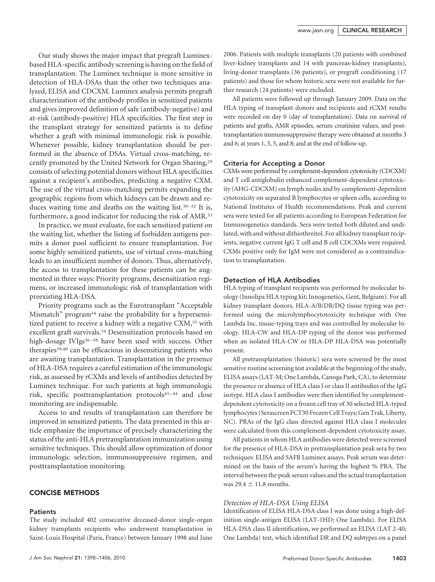Our study shows the major impact that pregraft Luminexbased HLA-specific antibody screening is having on the field of transplantation. The Luminex technique is more sensitive in detection of HLA-DSAs than the other two techniques analyzed, ELISA and CDCXM. Luminex analysis permits pregraft characterization of the antibody profiles in sensitized patients and gives improved definition of safe (antibody-negative) and at-risk (antibody-positive) HLA specificities. The first step in the transplant strategy for sensitized patients is to define whether a graft with minimal immunologic risk is possible. Whenever possible, kidney transplantation should be performed in the absence of DSAs. Virtual cross-matching, recently promoted by the United Network for Organ Sharing,29 consists of selecting potential donors without HLA specificities against a recipient's antibodies, predicting a negative CXM. The use of the virtual cross-matching permits expanding the geographic regions from which kidneys can be drawn and reduces waiting time and deaths on the waiting list.<sup>30–32</sup> It is, furthermore, a good indicator for reducing the risk of AMR.<sup>33</sup>

In practice, we must evaluate, for each sensitized patient on the waiting list, whether the listing of forbidden antigens permits a donor pool sufficient to ensure transplantation. For some highly sensitized patients, use of virtual cross-matching leads to an insufficient number of donors. Thus, alternatively, the access to transplantation for these patients can be augmented in three ways: Priority programs, desensitization regimens, or increased immunologic risk of transplantation with preexisting HLA-DSA.

Priority programs such as the Eurotransplant "Acceptable Mismatch" program34 raise the probability for a hypersensitized patient to receive a kidney with a negative CXM,<sup>35</sup> with excellent graft survivals.<sup>34</sup> Desensitization protocols based on high-dosage IVIgs<sup>36-38</sup> have been used with success. Other therapies<sup>39,40</sup> can be efficacious in desensitizing patients who are awaiting transplantation. Transplantation in the presence of HLA-DSA requires a careful estimation of the immunologic risk, as assessed by rCXMs and levels of antibodies detected by Luminex technique. For such patients at high immunologic risk, specific posttransplantation protocols41–44 and close monitoring are indispensable.

Access to and results of transplantation can therefore be improved in sensitized patients. The data presented in this article emphasize the importance of precisely characterizing the status of the anti-HLA pretransplantation immunization using sensitive techniques. This should allow optimization of donor immunologic selection, immunosuppressive regimen, and posttransplantation monitoring.

#### CONCISE METHODS

#### **Patients**

The study included 402 consecutive deceased-donor single-organ kidney transplants recipients who underwent transplantation in Saint-Louis Hospital (Paris, France) between January 1998 and June 2006. Patients with multiple transplants (20 patients with combined liver-kidney transplants and 14 with pancreas-kidney transplants), living-donor transplants (36 patients), or pregraft conditioning (17 patients) and those for whom historic sera were not available for further research (24 patients) were excluded.

All patients were followed up through January 2009. Data on the HLA typing of transplant donors and recipients and rCXM results were recorded on day 0 (day of transplantation). Data on survival of patients and grafts, AMR episodes, serum creatinine values, and posttransplantation immunosuppressive therapy were obtained at months 3 and 6; at years 1, 3, 5, and 8; and at the end of follow-up.

#### Criteria for Accepting a Donor

CXMs were performed by complement-dependent cytotoxicity (CDCXM) and T cell antiglobulin enhanced complement-dependent cytotoxicity (AHG-CDCXM) on lymph nodes and by complement-dependent cytotoxicity on separated B lymphocytes or spleen cells, according to National Institutes of Health recommendations. Peak and current sera were tested for all patients according to European Federation for Immunogenetics standards. Sera were tested both diluted and undiluted, with and without dithiothreitol. For all kidney transplant recipients, negative current IgG T cell and B cell CDCXMs were required. CXMs positive only for IgM were not considered as a contraindication to transplantation.

## Detection of HLA Antibodies

HLA typing of transplant recipients was performed by molecular biology (Innolipa HLA typing kit; Innogenetics, Gent, Belgium). For all kidney transplant donors, HLA-A/B/DR/DQ tissue typing was performed using the microlymphocytotoxicity technique with One Lambda Inc. tissue-typing trays and was controlled by molecular biology. HLA-CW and HLA-DP typing of the donor was performed when an isolated HLA-CW or HLA-DP HLA-DSA was potentially present.

All pretransplantation (historic) sera were screened by the most sensitive routine screening test available at the beginning of the study, ELISA assays (LAT-M; One Lambda, Canoga Park, CA), to determine the presence or absence of HLA class I or class II antibodies of the IgG isotype. HLA class I antibodies were then identified by complementdependent cytotoxicity on a frozen cell tray of 30 selected HLA-typed lymphocytes (Serascreen FCT30 Frozen Cell Trays; Gen Trak, Liberty, NC). PRAs of the IgG class directed against HLA class I molecules were calculated from this complement-dependent cytotoxicity assay.

All patients in whom HLA antibodies were detected were screened for the presence of HLA-DSA in pretransplantation peak sera by two techniques: ELISA and SAFB Luminex assays. Peak serum was determined on the basis of the serum's having the highest % PRA. The interval between the peak serum values and the actual transplantation was  $29.4 \pm 11.8$  months.

#### *Detection of HLA-DSA Using ELISA*

Identification of ELISA HLA-DSA class I was done using a high-definition single-antigen ELISA (LAT-1HD; One Lambda). For ELISA HLA-DSA class II identification, we performed an ELISA (LAT 2-40; One Lambda) test, which identified DR and DQ subtypes on a panel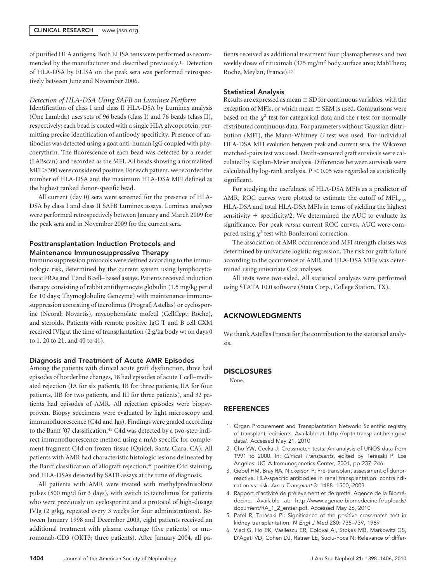## CLINICAL RESEARCH | www.jasn.org

of purified HLA antigens. Both ELISA tests were performed as recommended by the manufacturer and described previously.11 Detection of HLA-DSA by ELISA on the peak sera was performed retrospectively between June and November 2006.

#### *Detection of HLA-DSA Using SAFB on Luminex Platform*

Identification of class I and class II HLA-DSA by Luminex analysis (One Lambda) uses sets of 96 beads (class I) and 76 beads (class II), respectively; each bead is coated with a single HLA glycoprotein, permitting precise identification of antibody specificity. Presence of antibodies was detected using a goat anti-human IgG coupled with phycoerythrin. The fluorescence of each bead was detected by a reader (LABscan) and recorded as the MFI. All beads showing a normalized MFI -300 were considered positive. For each patient, we recorded the number of HLA-DSA and the maximum HLA-DSA MFI defined as the highest ranked donor-specific bead.

All current (day 0) sera were screened for the presence of HLA-DSA by class I and class II SAFB Luminex assays. Luminex analyses were performed retrospectively between January and March 2009 for the peak sera and in November 2009 for the current sera.

## Posttransplantation Induction Protocols and Maintenance Immunosuppressive Therapy

Immunosuppression protocols were defined according to the immunologic risk, determined by the current system using lymphocytotoxic PRAs and T and B cell– based assays. Patients received induction therapy consisting of rabbit antithymocyte globulin (1.5 mg/kg per d for 10 days; Thymoglobulin; Genzyme) with maintenance immunosuppression consisting of tacrolimus (Prograf; Astellas) or cyclosporine (Neoral; Novartis), mycophenolate mofetil (CellCept; Roche), and steroids. Patients with remote positive IgG T and B cell CXM received IVIg at the time of transplantation (2 g/kg body wt on days 0 to 1, 20 to 21, and 40 to 41).

#### Diagnosis and Treatment of Acute AMR Episodes

Among the patients with clinical acute graft dysfunction, three had episodes of borderline changes, 18 had episodes of acute T cell–mediated rejection (IA for six patients, IB for three patients, IIA for four patients, IIB for two patients, and III for three patients), and 32 patients had episodes of AMR. All rejection episodes were biopsyproven. Biopsy specimens were evaluated by light microscopy and immunofluorescence (C4d and Igs). Findings were graded according to the Banff '07 classification.45 C4d was detected by a two-step indirect immunofluorescence method using a mAb specific for complement fragment C4d on frozen tissue (Quidel, Santa Clara, CA). All patients with AMR had characteristic histologic lesions delineated by the Banff classification of allograft rejection,<sup>46</sup> positive C4d staining, and HLA-DSAs detected by SAFB assays at the time of diagnosis.

All patients with AMR were treated with methylprednisolone pulses (500 mg/d for 3 days), with switch to tacrolimus for patients who were previously on cyclosporine and a protocol of high-dosage IVIg (2 g/kg, repeated every 3 weeks for four administrations). Between January 1998 and December 2003, eight patients received an additional treatment with plasma exchange (five patients) or muromonab-CD3 (OKT3; three patients). After January 2004, all patients received as additional treatment four plasmaphereses and two weekly doses of rituximab (375 mg/m<sup>2</sup> body surface area; MabThera; Roche, Meylan, France).17

#### Statistical Analysis

Results are expressed as mean  $\pm$  SD for continuous variables, with the exception of MFIs, or which mean  $\pm$  SEM is used. Comparisons were based on the  $\chi^2$  test for categorical data and the *t* test for normally distributed continuous data. For parameters without Gaussian distribution (MFI), the Mann-Whitney *U* test was used. For individual HLA-DSA MFI evolution between peak and current sera, the Wilcoxon matched-pairs test was used. Death-censored graft survivals were calculated by Kaplan-Meier analysis. Differences between survivals were calculated by log-rank analysis.  $P < 0.05$  was regarded as statistically significant.

For studying the usefulness of HLA-DSA MFIs as a predictor of AMR, ROC curves were plotted to estimate the cutoff of  $MFI<sub>max</sub>$ HLA-DSA and total HLA-DSA MFIs in terms of yielding the highest sensitivity  $+$  specificity/2. We determined the AUC to evaluate its significance. For peak *versus* current ROC curves, AUC were compared using  $\chi^2$  test with Bonferroni correction.

The association of AMR occurrence and MFI strength classes was determined by univariate logistic regression. The risk for graft failure according to the occurrence of AMR and HLA-DSA MFIs was determined using univariate Cox analyses.

All tests were two-sided. All statistical analyses were performed using STATA 10.0 software (Stata Corp., College Station, TX).

#### ACKNOWLEDGMENTS

We thank Astellas France for the contribution to the statistical analysis.

#### **DISCLOSURES**

None.

#### **REFERENCES**

- 1. Organ Procurement and Transplantation Network: Scientific registry of transplant recipients. Available at: http://optn.transplant.hrsa.gov/ data/. Accessed May 21, 2010
- 2. Cho YW, Cecka J: Crossmatch tests: An analysis of UNOS data from 1991 to 2000. In: *Clinical Transplants*, edited by Terasaki P, Los Angeles: UCLA Immunogenetics Center, 2001, pp 237–246
- 3. Gebel HM, Bray RA, Nickerson P: Pre-transplant assessment of donorreactive, HLA-specific antibodies in renal transplantation: contraindication vs. risk. *Am J Transplant* 3: 1488 –1500, 2003
- 4. Rapport d'activité de prélèvement et de greffe. Agence de la Biomédecine. Available at: http://www.agence-biomedecine.fr/uploads/ document/RA\_1\_2\_entier.pdf. Accessed May 26, 2010
- 5. Patel R, Terasaki PI: Significance of the positive crossmatch test in kidney transplantation. *N Engl J Med* 280: 735–739, 1969
- 6. Vlad G, Ho EK, Vasilescu ER, Colovai AI, Stokes MB, Markowitz GS, D'Agati VD, Cohen DJ, Ratner LE, Suciu-Foca N: Relevance of differ-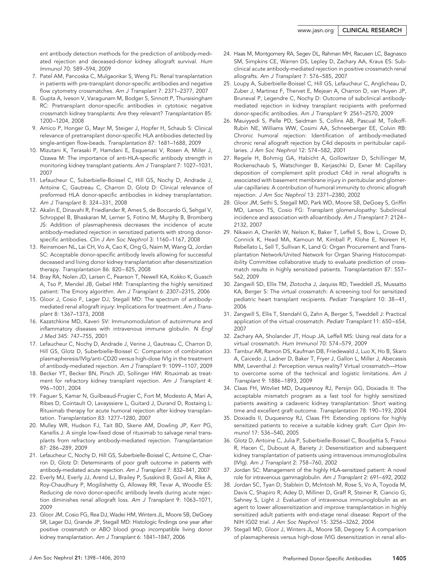ent antibody detection methods for the prediction of antibody-mediated rejection and deceased-donor kidney allograft survival. *Hum Immunol* 70: 589 –594, 2009

- 7. Patel AM, Pancoska C, Mulgaonkar S, Weng FL: Renal transplantation in patients with pre-transplant donor-specific antibodies and negative flow cytometry crossmatches. *Am J Transplant* 7: 2371–2377, 2007
- 8. Gupta A, Iveson V, Varagunam M, Bodger S, Sinnott P, Thuraisingham RC: Pretransplant donor-specific antibodies in cytotoxic negative crossmatch kidney transplants: Are they relevant? *Transplantation* 85: 1200 –1204, 2008
- 9. Amico P, Honger G, Mayr M, Steiger J, Hopfer H, Schaub S: Clinical relevance of pretransplant donor-specific HLA antibodies detected by single-antigen flow-beads. *Transplantation* 87: 1681–1688, 2009
- 10. Mizutani K, Terasaki P, Hamdani E, Esquenazi V, Rosen A, Miller J, Ozawa M: The importance of anti-HLA-specific antibody strength in monitoring kidney transplant patients. *Am J Transplant* 7: 1027–1031, 2007
- 11. Lefaucheur C, Suberbielle-Boissel C, Hill GS, Nochy D, Andrade J, Antoine C, Gautreau C, Charron D, Glotz D: Clinical relevance of preformed HLA donor-specific antibodies in kidney transplantation. *Am J Transplant* 8: 324 –331, 2008
- 12. Akalin E, Dinavahi R, Friedlander R, Ames S, de Boccardo G, Sehgal V, Schroppel B, Bhaskaran M, Lerner S, Fotino M, Murphy B, Bromberg JS: Addition of plasmapheresis decreases the incidence of acute antibody-mediated rejection in sensitized patients with strong donorspecific antibodies. *Clin J Am Soc Nephrol* 3: 1160-1167, 2008
- 13. Reinsmoen NL, Lai CH, Vo A, Cao K, Ong G, Naim M, Wang Q, Jordan SC: Acceptable donor-specific antibody levels allowing for successful deceased and living donor kidney transplantation after desensitization therapy. *Transplantation* 86: 820 – 825, 2008
- 14. Bray RA, Nolen JD, Larsen C, Pearson T, Newell KA, Kokko K, Guasch A, Tso P, Mendel JB, Gebel HM: Transplanting the highly sensitized patient: The Emory algorithm. *Am J Transplant* 6: 2307–2315, 2006
- 15. Gloor J, Cosio F, Lager DJ, Stegall MD: The spectrum of antibodymediated renal allograft injury: Implications for treatment. *Am J Transplant* 8: 1367–1373, 2008
- 16. Kazatchkine MD, Kaveri SV: Immunomodulation of autoimmune and inflammatory diseases with intravenous immune globulin. *N Engl J Med* 345: 747–755, 2001
- 17. Lefaucheur C, Nochy D, Andrade J, Verine J, Gautreau C, Charron D, Hill GS, Glotz D, Suberbielle-Boissel C: Comparison of combination plasmapheresis/IVIg/anti-CD20 *versus* high-dose IVIg in the treatment of antibody-mediated rejection. *Am J Transplant* 9: 1099 –1107, 2009
- 18. Becker YT, Becker BN, Pirsch JD, Sollinger HW: Rituximab as treatment for refractory kidney transplant rejection. *Am J Transplant* 4: 996 –1001, 2004
- 19. Faguer S, Kamar N, Guilbeaud-Frugier C, Fort M, Modesto A, Mari A, Ribes D, Cointault O, Lavayssiere L, Guitard J, Durand D, Rostaing L: Rituximab therapy for acute humoral rejection after kidney transplantation. *Transplantation* 83: 1277–1280, 2007
- 20. Mulley WR, Hudson FJ, Tait BD, Skene AM, Dowling JP, Kerr PG, Kanellis J: A single low-fixed dose of rituximab to salvage renal transplants from refractory antibody-mediated rejection. *Transplantation* 87: 286 –289, 2009
- 21. Lefaucheur C, Nochy D, Hill GS, Suberbielle-Boissel C, Antoine C, Charron D, Glotz D: Determinants of poor graft outcome in patients with antibody-mediated acute rejection. *Am J Transplant* 7: 832–841, 2007
- 22. Everly MJ, Everly JJ, Arend LJ, Brailey P, Susskind B, Govil A, Rike A, Roy-Chaudhury P, Mogilishetty G, Alloway RR, Tevar A, Woodle ES: Reducing *de novo* donor-specific antibody levels during acute rejection diminishes renal allograft loss. *Am J Transplant* 9: 1063–1071, 2009
- 23. Gloor JM, Cosio FG, Rea DJ, Wadei HM, Winters JL, Moore SB, DeGoey SR, Lager DJ, Grande JP, Stegall MD: Histologic findings one year after positive crossmatch or ABO blood group incompatible living donor kidney transplantation. *Am J Transplant* 6: 1841–1847, 2006
- 24. Haas M, Montgomery RA, Segev DL, Rahman MH, Racusen LC, Bagnasco SM, Simpkins CE, Warren DS, Lepley D, Zachary AA, Kraus ES: Subclinical acute antibody-mediated rejection in positive crossmatch renal allografts. *Am J Transplant* 7: 576 –585, 2007
- 25. Loupy A, Suberbielle-Boissel C, Hill GS, Lefaucheur C, Anglicheau D, Zuber J, Martinez F, Thervet E, Mejean A, Charron D, van Huyen JP, Bruneval P, Legendre C, Nochy D: Outcome of subclinical antibodymediated rejection in kidney transplant recipients with preformed donor-specific antibodies. *Am J Transplant* 9: 2561–2570, 2009
- 26. Mauiyyedi S, Pelle PD, Saidman S, Collins AB, Pascual M, Tolkoff-Rubin NE, Williams WW, Cosimi AA, Schneeberger EE, Colvin RB: Chronic humoral rejection: Identification of antibody-mediated chronic renal allograft rejection by C4d deposits in peritubular capillaries. *J Am Soc Nephrol* 12: 574 –582, 2001
- 27. Regele H, Bohmig GA, Habicht A, Gollowitzer D, Schillinger M, Rockenschaub S, Watschinger B, Kerjaschki D, Exner M: Capillary deposition of complement split product C4d in renal allografts is associated with basement membrane injury in peritubular and glomerular capillaries: A contribution of humoral immunity to chronic allograft rejection. *J Am Soc Nephrol* 13: 2371–2380, 2002
- 28. Gloor JM, Sethi S, Stegall MD, Park WD, Moore SB, DeGoey S, Griffin MD, Larson TS, Cosio FG: Transplant glomerulopathy: Subclinical incidence and association with alloantibody. *Am J Transplant* 7: 2124 – 2132, 2007
- 29. Nikaein A, Cherikh W, Nelson K, Baker T, Leffell S, Bow L, Crowe D, Connick K, Head MA, Kamoun M, Kimball P, Klohe E, Noreen H, Rebellato L, Sell T, Sullivan K, Land G: Organ Procurement and Transplantation Network/United Network for Organ Sharing Histocompatibility Committee collaborative study to evaluate prediction of crossmatch results in highly sensitized patients. *Transplantation* 87: 557– 562, 2009
- 30. Zangwill SD, Ellis TM, Zlotocha J, Jaquiss RD, Tweddell JS, Mussatto KA, Berger S: The virtual crossmatch: A screening tool for sensitized pediatric heart transplant recipients. *Pediatr Transplant* 10: 38 – 41, 2006
- 31. Zangwill S, Ellis T, Stendahl G, Zahn A, Berger S, Tweddell J: Practical application of the virtual crossmatch. *Pediatr Transplant* 11: 650 – 654, 2007
- 32. Zachary AA, Sholander JT, Houp JA, Leffell MS: Using real data for a virtual crossmatch. *Hum Immunol* 70: 574 –579, 2009
- 33. Tambur AR, Ramon DS, Kaufman DB, Friedewald J, Luo X, Ho B, Skaro A, Caicedo J, Ladner D, Baker T, Fryer J, Gallon L, Miller J, Abecassis MM, Leventhal J: Perception versus reality? Virtual crossmatch—How to overcome some of the technical and logistic limitations. *Am J Transplant* 9: 1886 –1893, 2009
- 34. Claas FH, Witvliet MD, Duquesnoy RJ, Persijn GG, Doxiadis II: The acceptable mismatch program as a fast tool for highly sensitized patients awaiting a cadaveric kidney transplantation: Short waiting time and excellent graft outcome. *Transplantation* 78: 190 –193, 2004
- 35. Doxiadis II, Duquesnoy RJ, Claas FH: Extending options for highly sensitized patients to receive a suitable kidney graft. *Curr Opin Immunol* 17: 536 –540, 2005
- 36. Glotz D, Antoine C, Julia P, Suberbielle-Boissel C, Boudjeltia S, Fraoui R, Hacen C, Duboust A, Bariety J: Desensitization and subsequent kidney transplantation of patients using intravenous immunoglobulins (IVIg). *Am J Transplant* 2: 758 –760, 2002
- 37. Jordan SC: Management of the highly HLA-sensitized patient: A novel role for intravenous gammaglobulin. *Am J Transplant* 2: 691–692, 2002
- 38. Jordan SC, Tyan D, Stablein D, McIntosh M, Rose S, Vo A, Toyoda M, Davis C, Shapiro R, Adey D, Milliner D, Graff R, Steiner R, Ciancio G, Sahney S, Light J: Evaluation of intravenous immunoglobulin as an agent to lower allosensitization and improve transplantation in highly sensitized adult patients with end-stage renal disease: Report of the NIH IG02 trial. *J Am Soc Nephrol* 15: 3256 –3262, 2004
- 39. Stegall MD, Gloor J, Winters JL, Moore SB, Degoey S: A comparison of plasmapheresis versus high-dose IVIG desensitization in renal allo-